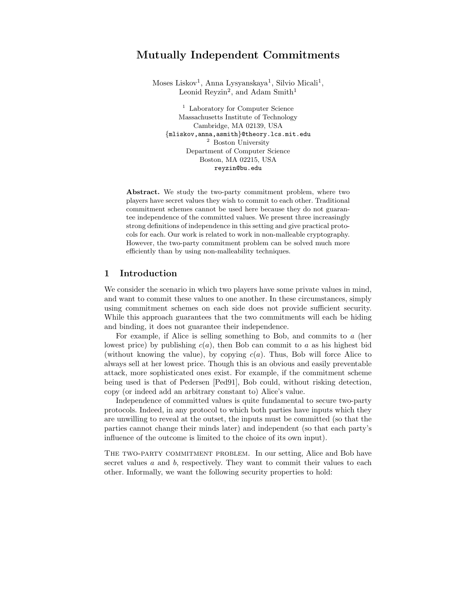# Mutually Independent Commitments

Moses Liskov<sup>1</sup>, Anna Lysyanskaya<sup>1</sup>, Silvio Micali<sup>1</sup>, Leonid Reyzin<sup>2</sup>, and Adam Smith<sup>1</sup>

<sup>1</sup> Laboratory for Computer Science Massachusetts Institute of Technology Cambridge, MA 02139, USA {mliskov,anna,asmith}@theory.lcs.mit.edu <sup>2</sup> Boston University Department of Computer Science Boston, MA 02215, USA reyzin@bu.edu

Abstract. We study the two-party commitment problem, where two players have secret values they wish to commit to each other. Traditional commitment schemes cannot be used here because they do not guarantee independence of the committed values. We present three increasingly strong definitions of independence in this setting and give practical protocols for each. Our work is related to work in non-malleable cryptography. However, the two-party commitment problem can be solved much more efficiently than by using non-malleability techniques.

## 1 Introduction

We consider the scenario in which two players have some private values in mind, and want to commit these values to one another. In these circumstances, simply using commitment schemes on each side does not provide sufficient security. While this approach guarantees that the two commitments will each be hiding and binding, it does not guarantee their independence.

For example, if Alice is selling something to Bob, and commits to a (her lowest price) by publishing  $c(a)$ , then Bob can commit to a as his highest bid (without knowing the value), by copying  $c(a)$ . Thus, Bob will force Alice to always sell at her lowest price. Though this is an obvious and easily preventable attack, more sophisticated ones exist. For example, if the commitment scheme being used is that of Pedersen [Ped91], Bob could, without risking detection, copy (or indeed add an arbitrary constant to) Alice's value.

Independence of committed values is quite fundamental to secure two-party protocols. Indeed, in any protocol to which both parties have inputs which they are unwilling to reveal at the outset, the inputs must be committed (so that the parties cannot change their minds later) and independent (so that each party's influence of the outcome is limited to the choice of its own input).

THE TWO-PARTY COMMITMENT PROBLEM. In our setting, Alice and Bob have secret values  $a$  and  $b$ , respectively. They want to commit their values to each other. Informally, we want the following security properties to hold: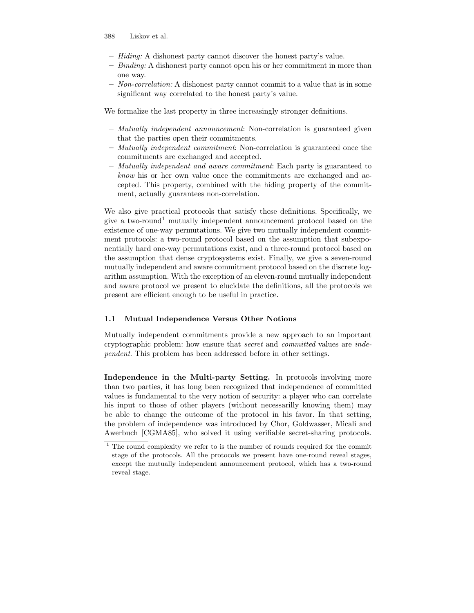- Hiding: A dishonest party cannot discover the honest party's value.
- $-$  Binding: A dishonest party cannot open his or her commitment in more than one way.
- Non-correlation: A dishonest party cannot commit to a value that is in some significant way correlated to the honest party's value.

We formalize the last property in three increasingly stronger definitions.

- $-$  Mutually independent announcement: Non-correlation is guaranteed given that the parties open their commitments.
- Mutually independent commitment: Non-correlation is guaranteed once the commitments are exchanged and accepted.
- Mutually independent and aware commitment: Each party is guaranteed to know his or her own value once the commitments are exchanged and accepted. This property, combined with the hiding property of the commitment, actually guarantees non-correlation.

We also give practical protocols that satisfy these definitions. Specifically, we give a two-round<sup>1</sup> mutually independent announcement protocol based on the existence of one-way permutations. We give two mutually independent commitment protocols: a two-round protocol based on the assumption that subexponentially hard one-way permutations exist, and a three-round protocol based on the assumption that dense cryptosystems exist. Finally, we give a seven-round mutually independent and aware commitment protocol based on the discrete logarithm assumption. With the exception of an eleven-round mutually independent and aware protocol we present to elucidate the definitions, all the protocols we present are efficient enough to be useful in practice.

#### 1.1 Mutual Independence Versus Other Notions

Mutually independent commitments provide a new approach to an important cryptographic problem: how ensure that secret and committed values are independent. This problem has been addressed before in other settings.

Independence in the Multi-party Setting. In protocols involving more than two parties, it has long been recognized that independence of committed values is fundamental to the very notion of security: a player who can correlate his input to those of other players (without necessarilly knowing them) may be able to change the outcome of the protocol in his favor. In that setting, the problem of independence was introduced by Chor, Goldwasser, Micali and Awerbuch [CGMA85], who solved it using verifiable secret-sharing protocols.

<sup>1</sup> The round complexity we refer to is the number of rounds required for the commit stage of the protocols. All the protocols we present have one-round reveal stages, except the mutually independent announcement protocol, which has a two-round reveal stage.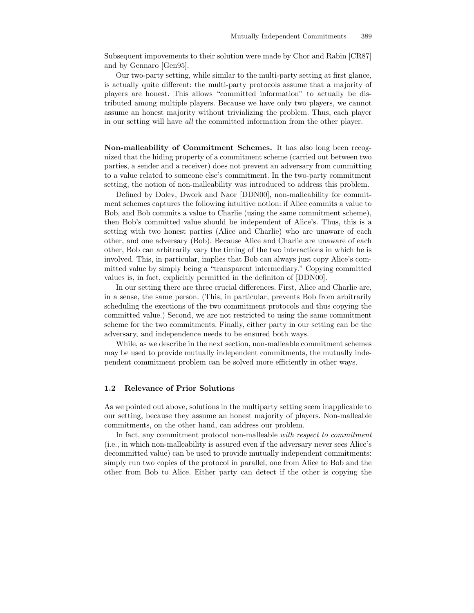Subsequent impovements to their solution were made by Chor and Rabin [CR87] and by Gennaro [Gen95].

Our two-party setting, while similar to the multi-party setting at first glance, is actually quite different: the multi-party protocols assume that a majority of players are honest. This allows "committed information" to actually be distributed among multiple players. Because we have only two players, we cannot assume an honest majority without trivializing the problem. Thus, each player in our setting will have all the committed information from the other player.

Non-malleability of Commitment Schemes. It has also long been recognized that the hiding property of a commitment scheme (carried out between two parties, a sender and a receiver) does not prevent an adversary from committing to a value related to someone else's commitment. In the two-party commitment setting, the notion of non-malleability was introduced to address this problem.

Defined by Dolev, Dwork and Naor [DDN00], non-malleability for commitment schemes captures the following intuitive notion: if Alice commits a value to Bob, and Bob commits a value to Charlie (using the same commitment scheme), then Bob's committed value should be independent of Alice's. Thus, this is a setting with two honest parties (Alice and Charlie) who are unaware of each other, and one adversary (Bob). Because Alice and Charlie are unaware of each other, Bob can arbitrarily vary the timing of the two interactions in which he is involved. This, in particular, implies that Bob can always just copy Alice's committed value by simply being a "transparent intermediary." Copying committed values is, in fact, explicitly permitted in the definiton of [DDN00].

In our setting there are three crucial differences. First, Alice and Charlie are, in a sense, the same person. (This, in particular, prevents Bob from arbitrarily scheduling the exections of the two commitment protocols and thus copying the committed value.) Second, we are not restricted to using the same commitment scheme for the two commitments. Finally, either party in our setting can be the adversary, and independence needs to be ensured both ways.

While, as we describe in the next section, non-malleable commitment schemes may be used to provide mutually independent commitments, the mutually independent commitment problem can be solved more efficiently in other ways.

#### 1.2 Relevance of Prior Solutions

As we pointed out above, solutions in the multiparty setting seem inapplicable to our setting, because they assume an honest majority of players. Non-malleable commitments, on the other hand, can address our problem.

In fact, any commitment protocol non-malleable with respect to commitment (i.e., in which non-malleability is assured even if the adversary never sees Alice's decommitted value) can be used to provide mutually independent commitments: simply run two copies of the protocol in parallel, one from Alice to Bob and the other from Bob to Alice. Either party can detect if the other is copying the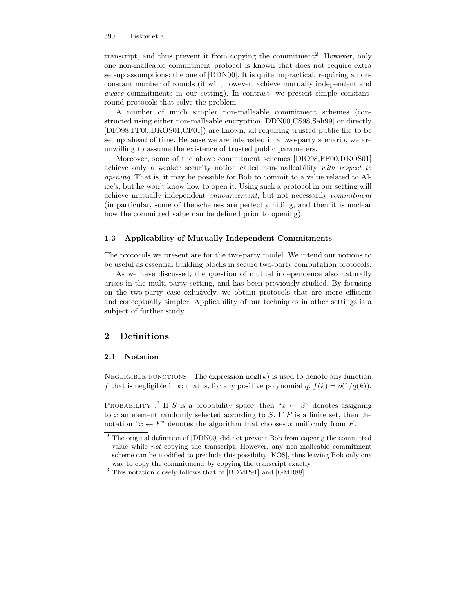transcript, and thus prevent it from copying the commitment 2 . However, only one non-malleable commitment protocol is known that does not require extra set-up assumptions: the one of [DDN00]. It is quite impractical, requiring a nonconstant number of rounds (it will, however, achieve mutually independent and aware commitments in our setting). In contrast, we present simple constantround protocols that solve the problem.

A number of much simpler non-malleable commitment schemes (constructed using either non-malleable encryption [DDN00,CS98,Sah99] or directly [DIO98,FF00,DKOS01,CF01]) are known, all requiring trusted public file to be set up ahead of time. Because we are interested in a two-party scenario, we are unwilling to assume the existence of trusted public parameters.

Moreover, some of the above commitment schemes [DIO98,FF00,DKOS01] achieve only a weaker security notion called non-malleability with respect to opening. That is, it may be possible for Bob to commit to a value related to Alice's, but he won't know how to open it. Using such a protocol in our setting will achieve mutually independent announcement, but not necessarily commitment (in particular, some of the schemes are perfectly hiding, and then it is unclear how the committed value can be defined prior to opening).

#### 1.3 Applicability of Mutually Independent Commitments

The protocols we present are for the two-party model. We intend our notions to be useful as essential building blocks in secure two-party computation protocols.

As we have discussed, the question of mutual independence also naturally arises in the multi-party setting, and has been previously studied. By focusing on the two-party case exlusively, we obtain protocols that are more efficient and conceptually simpler. Applicability of our techniques in other settings is a subject of further study.

## 2 Definitions

#### 2.1 Notation

NEGLIGIBLE FUNCTIONS. The expression  $negl(k)$  is used to denote any function f that is negligible in k; that is, for any positive polynomial q,  $f(k) = o(1/q(k)).$ 

PROBABILITY .<sup>3</sup> If S is a probability space, then " $x \leftarrow S$ " denotes assigning to  $x$  an element randomly selected according to  $S$ . If  $F$  is a finite set, then the notation " $x \leftarrow F$ " denotes the algorithm that chooses x uniformly from F.

 $2$  The original definition of [DDN00] did not prevent Bob from copying the committed value while not copying the transcript. However, any non-malleable commitment scheme can be modified to preclude this possibilty [KOS], thus leaving Bob only one way to copy the commitment: by copying the transcript exactly.

<sup>3</sup> This notation closely follows that of [BDMP91] and [GMR88].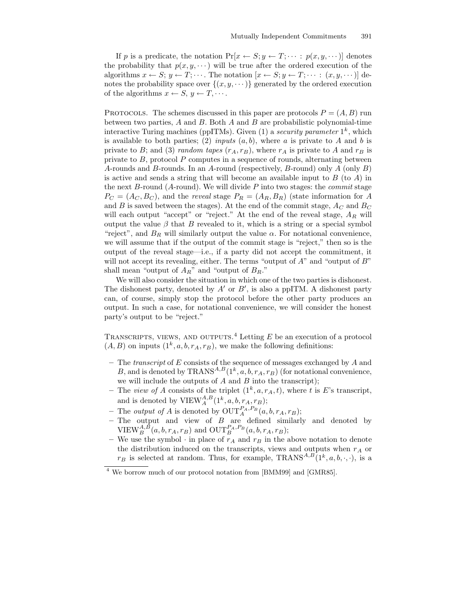If p is a predicate, the notation  $Pr[x \leftarrow S; y \leftarrow T; \cdots : p(x, y, \cdots)]$  denotes the probability that  $p(x, y, \dots)$  will be true after the ordered execution of the algorithms  $x \leftarrow S$ ;  $y \leftarrow T$ ;  $\cdots$ . The notation  $[x \leftarrow S; y \leftarrow T; \cdots : (x, y, \cdots)]$  denotes the probability space over  $\{(x, y, \dots)\}\$ generated by the ordered execution of the algorithms  $x \leftarrow S, y \leftarrow T, \cdots$ .

PROTOCOLS. The schemes discussed in this paper are protocols  $P = (A, B)$  run between two parties,  $A$  and  $B$ . Both  $A$  and  $B$  are probabilistic polynomial-time interactive Turing machines (ppITMs). Given (1) a *security parameter*  $1<sup>k</sup>$ , which is available to both parties; (2) inputs  $(a, b)$ , where a is private to A and b is private to B; and (3) random tapes  $(r_A, r_B)$ , where  $r_A$  is private to A and  $r_B$  is private to  $B$ , protocol  $P$  computes in a sequence of rounds, alternating between A-rounds and B-rounds. In an A-round (respectively, B-round) only A (only B) is active and sends a string that will become an available input to  $B$  (to  $A$ ) in the next  $B$ -round (A-round). We will divide  $P$  into two stages: the *commit* stage  $P_C = (A_C, B_C)$ , and the reveal stage  $P_R = (A_R, B_R)$  (state information for A and B is saved between the stages). At the end of the commit stage,  $A_C$  and  $B_C$ will each output "accept" or "reject." At the end of the reveal stage,  $A_R$  will output the value  $\beta$  that B revealed to it, which is a string or a special symbol "reject", and  $B_R$  will similarly output the value  $\alpha$ . For notational convenience, we will assume that if the output of the commit stage is "reject," then so is the output of the reveal stage—i.e., if a party did not accept the commitment, it will not accept its revealing, either. The terms "output of  $A$ " and "output of  $B$ " shall mean "output of  $A_R$ " and "output of  $B_R$ ."

We will also consider the situation in which one of the two parties is dishonest. The dishonest party, denoted by  $A'$  or  $B'$ , is also a ppITM. A dishonest party can, of course, simply stop the protocol before the other party produces an output. In such a case, for notational convenience, we will consider the honest party's output to be "reject."

TRANSCRIPTS, VIEWS, AND OUTPUTS.<sup>4</sup> Letting  $E$  be an execution of a protocol  $(A, B)$  on inputs  $(1^k, a, b, r_A, r_B)$ , we make the following definitions:

- The transcript of  $E$  consists of the sequence of messages exchanged by  $A$  and B, and is denoted by  $\text{TRANS}^{A,B}(1^k, a, b, r_A, r_B)$  (for notational convenience, we will include the outputs of  $A$  and  $B$  into the transcript);
- The view of A consists of the triplet  $(1^k, a, r_A, t)$ , where t is E's transcript, and is denoted by  $\text{VIEW}_{A}^{A,B}(1^k, a, b, r_A, r_B);$
- The *output of A* is denoted by  $OUT_A^{P_A, P_B}(a, b, r_A, r_B);$
- The output and view of  $B$  are defined similarly and denoted by VIEW<sup>A,B</sup>(a, b, r<sub>A</sub>, r<sub>B</sub>) and OUT<sup>P<sub>A</sub>,P<sub>B</sub></sup>(a, b, r<sub>A</sub>, r<sub>B</sub>);
- We use the symbol  $\cdot$  in place of  $r_A$  and  $r_B$  in the above notation to denote the distribution induced on the transcripts, views and outputs when  $r_A$  or  $r_B$  is selected at random. Thus, for example, TRANS<sup> $A,B(1^k, a, b, \cdot, \cdot)$ , is a</sup>

<sup>4</sup> We borrow much of our protocol notation from [BMM99] and [GMR85].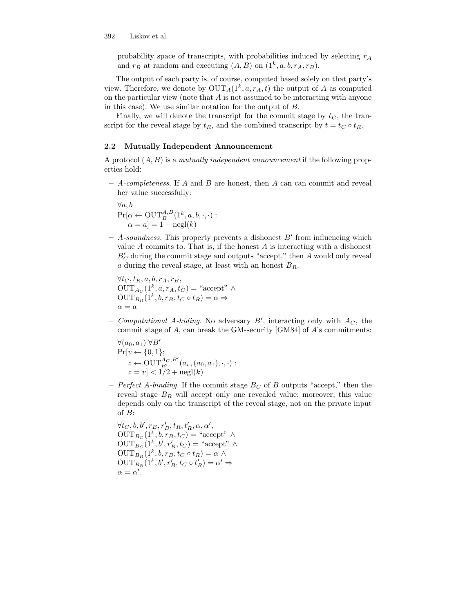probability space of transcripts, with probabilities induced by selecting  $r_A$ and  $r_B$  at random and executing  $(A, B)$  on  $(1^k, a, b, r_A, r_B)$ .

The output of each party is, of course, computed based solely on that party's view. Therefore, we denote by  $OUT_A(1^k, a, r_A, t)$  the output of A as computed on the particular view (note that  $A$  is not assumed to be interacting with anyone in this case). We use similar notation for the output of  $B$ .

Finally, we will denote the transcript for the commit stage by  $t_C$ , the transcript for the reveal stage by  $t_R$ , and the combined transcript by  $t = t_C \circ t_R$ .

#### 2.2 Mutually Independent Announcement

A protocol  $(A, B)$  is a mutually independent announcement if the following properties hold:

 $-$  A-completeness. If A and B are honest, then A can can commit and reveal her value successfully:

 $\forall a, b$  $Pr[\alpha \leftarrow OUT^{A,B}_B(1^k, a, b, \cdot, \cdot):$  $\alpha = a$ ] = 1 – negl(k)

 $- A$ -soundness. This property prevents a dishonest  $B'$  from influencing which value  $A$  commits to. That is, if the honest  $A$  is interacting with a dishonest  $B_C'$  during the commit stage and outputs "accept," then  $\widetilde{A}$  would only reveal a during the reveal stage, at least with an honest  $B_R$ .

 $\forall t_C, t_R, a, b, r_A, r_B,$  $OUT_{Ac}(1^k, a, r_A, t_C) = "accept" \wedge$  $\text{OUT}_{B_R}(1^k, b, r_B, t_C \circ t_R) = \alpha \Rightarrow$  $\alpha = a$ 

- Computational A-hiding. No adversary  $B'$ , interacting only with  $A_C$ , the commit stage of A, can break the GM-security  $[GM84]$  of A's commitments:

 $\forall (a_0, a_1) \forall B'$  $Pr[v \leftarrow \{0, 1\};$  $z \leftarrow \text{OUT}_{B'}^{A_C, B'}(a_v, (a_0, a_1), \cdot, \cdot):$  $|z = v| < 1/2 + \text{negl}(k)$ 

– Perfect A-binding. If the commit stage  $B_C$  of B outputs "accept," then the reveal stage  $B_R$  will accept only one revealed value; moreover, this value depends only on the transcript of the reveal stage, not on the private input of B:

 $\forall t_C, b, b', r_B, r'_B, t_R, t'_R, \alpha, \alpha',$  $\text{OUT}_{B_C}(1^k, b, r_B, t_C) = \text{``accept''} \wedge$  $\text{OUT}_{B_C}(1^k, b', r'_B, t_C) = \text{``accept''} \wedge$  $\mathrm{OUT}_{B_R}(1^k, b, r_B, t_C \circ t_R) = \alpha \wedge$  $\text{OUT}_{B_R}(1^k, b', r'_B, t_C \circ t'_R) = \alpha' \Rightarrow$  $\alpha = \alpha'$ .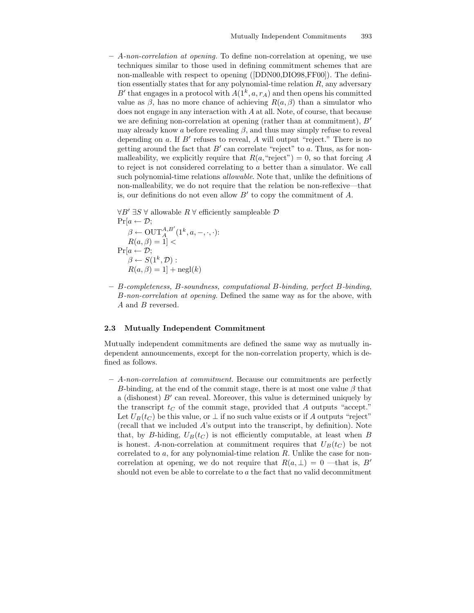$- A$ -non-correlation at opening. To define non-correlation at opening, we use techniques similar to those used in defining commitment schemes that are non-malleable with respect to opening ([DDN00,DIO98,FF00]). The definition essentially states that for any polynomial-time relation  $R$ , any adversary B' that engages in a protocol with  $A(1^k, a, r_A)$  and then opens his committed value as  $\beta$ , has no more chance of achieving  $R(a, \beta)$  than a simulator who does not engage in any interaction with A at all. Note, of course, that because we are defining non-correlation at opening (rather than at commitment),  $B'$ may already know a before revealing  $\beta$ , and thus may simply refuse to reveal depending on  $a$ . If  $B'$  refuses to reveal,  $A$  will output "reject." There is no getting around the fact that  $B'$  can correlate "reject" to  $a$ . Thus, as for nonmalleability, we explicitly require that  $R(a, \text{``reject''}) = 0$ , so that forcing A to reject is not considered correlating to a better than a simulator. We call such polynomial-time relations allowable. Note that, unlike the definitions of non-malleability, we do not require that the relation be non-reflexive—that is, our definitions do not even allow  $B'$  to copy the commitment of  $A$ .

 $\forall B' \exists S \forall$  allowable R  $\forall$  efficiently sampleable D  $Pr[a \leftarrow \mathcal{D};$  $\beta \leftarrow \text{OUT}_{A}^{A,B'}(1^k, a, -, \cdot, \cdot)$ :  $R(a, \beta) = 1$  <  $Pr[a \leftarrow \mathcal{D};$  $\beta \leftarrow S(1^k, \mathcal{D})$  :  $R(a, \beta) = 1$  + negl(k)

– B-completeness, B-soundness, computational B-binding, perfect B-binding, B-non-correlation at opening. Defined the same way as for the above, with A and B reversed.

#### 2.3 Mutually Independent Commitment

Mutually independent commitments are defined the same way as mutually independent announcements, except for the non-correlation property, which is defined as follows.

– A-non-correlation at commitment. Because our commitments are perfectly B-binding, at the end of the commit stage, there is at most one value  $\beta$  that a (dishonest)  $B'$  can reveal. Moreover, this value is determined uniquely by the transcript  $t<sub>C</sub>$  of the commit stage, provided that A outputs "accept." Let  $U_B(t_C)$  be this value, or  $\perp$  if no such value exists or if A outputs "reject" (recall that we included A's output into the transcript, by definition). Note that, by B-hiding,  $U_B(t_C)$  is not efficiently computable, at least when B is honest. A-non-correlation at commitment requires that  $U_B(t_C)$  be not correlated to a, for any polynomial-time relation  $R$ . Unlike the case for noncorrelation at opening, we do not require that  $R(a, \perp) = 0$  —that is, B' should not even be able to correlate to a the fact that no valid decommitment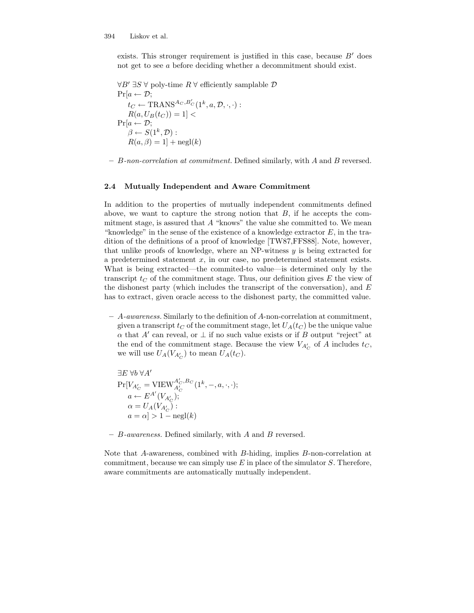exists. This stronger requirement is justified in this case, because  $B'$  does not get to see a before deciding whether a decommitment should exist.

$$
\forall B' \exists S \; \forall \text{ poly-time } R \; \forall \text{ efficiently sample } D
$$
\n
$$
\Pr[a \leftarrow \mathcal{D};
$$
\n
$$
t_C \leftarrow \text{TRANS}^{A_C, B'_C}(1^k, a, \mathcal{D}, \cdot, \cdot):
$$
\n
$$
R(a, U_B(t_C)) = 1] <
$$
\n
$$
\Pr[a \leftarrow \mathcal{D};
$$
\n
$$
\beta \leftarrow S(1^k, \mathcal{D}):
$$
\n
$$
R(a, \beta) = 1] + \text{negl}(k)
$$

– B-non-correlation at commitment. Defined similarly, with A and B reversed.

#### 2.4 Mutually Independent and Aware Commitment

In addition to the properties of mutually independent commitments defined above, we want to capture the strong notion that  $B$ , if he accepts the commitment stage, is assured that  $A$  "knows" the value she committed to. We mean "knowledge" in the sense of the existence of a knowledge extractor  $E$ , in the tradition of the definitions of a proof of knowledge [TW87,FFS88]. Note, however, that unlike proofs of knowledge, where an NP-witness  $y$  is being extracted for a predetermined statement  $x$ , in our case, no predetermined statement exists. What is being extracted—the commited-to value—is determined only by the transcript  $t_C$  of the commitment stage. Thus, our definition gives  $E$  the view of the dishonest party (which includes the transcript of the conversation), and  $E$ has to extract, given oracle access to the dishonest party, the committed value.

 $- A$ -awareness. Similarly to the definition of A-non-correlation at commitment, given a transcript  $t_C$  of the commitment stage, let  $U_A(t_C)$  be the unique value  $\alpha$  that A' can reveal, or  $\perp$  if no such value exists or if B output "reject" at the end of the commitment stage. Because the view  $V_{A_C}$  of A includes  $t_C$ , we will use  $U_A(V_{A_C'})$  to mean  $U_A(t_C)$ .

∃ $E$  ∀ $b$  ∀ $A'$  $Pr[V_{A_C'} = VIEW_{A_C'}^{A_C', B_C}(1^k, -, a, \cdot, \cdot);$  $a \leftarrow E^{A'}(V_{A'_{C}});$  $\alpha = U_A(V_{A_C'})$  :  $a = \alpha$ ] > 1 – negl(k)

 $-$  B-awareness. Defined similarly, with A and B reversed.

Note that A-awareness, combined with B-hiding, implies B-non-correlation at commitment, because we can simply use  $E$  in place of the simulator  $S$ . Therefore, aware commitments are automatically mutually independent.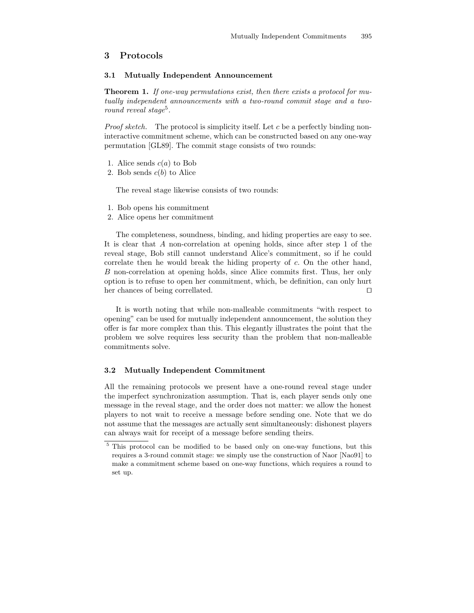## 3 Protocols

## 3.1 Mutually Independent Announcement

Theorem 1. If one-way permutations exist, then there exists a protocol for mutually independent announcements with a two-round commit stage and a tworound reveal stage<sup>5</sup>.

*Proof sketch.* The protocol is simplicity itself. Let c be a perfectly binding noninteractive commitment scheme, which can be constructed based on any one-way permutation [GL89]. The commit stage consists of two rounds:

- 1. Alice sends  $c(a)$  to Bob
- 2. Bob sends  $c(b)$  to Alice

The reveal stage likewise consists of two rounds:

- 1. Bob opens his commitment
- 2. Alice opens her commitment

The completeness, soundness, binding, and hiding properties are easy to see. It is clear that A non-correlation at opening holds, since after step 1 of the reveal stage, Bob still cannot understand Alice's commitment, so if he could correlate then he would break the hiding property of c. On the other hand, B non-correlation at opening holds, since Alice commits first. Thus, her only option is to refuse to open her commitment, which, be definition, can only hurt her chances of being correllated.  $\Box$ 

It is worth noting that while non-malleable commitments "with respect to opening" can be used for mutually independent announcement, the solution they offer is far more complex than this. This elegantly illustrates the point that the problem we solve requires less security than the problem that non-malleable commitments solve.

#### 3.2 Mutually Independent Commitment

All the remaining protocols we present have a one-round reveal stage under the imperfect synchronization assumption. That is, each player sends only one message in the reveal stage, and the order does not matter: we allow the honest players to not wait to receive a message before sending one. Note that we do not assume that the messages are actually sent simultaneously: dishonest players can always wait for receipt of a message before sending theirs.

<sup>5</sup> This protocol can be modified to be based only on one-way functions, but this requires a 3-round commit stage: we simply use the construction of Naor [Nao91] to make a commitment scheme based on one-way functions, which requires a round to set up.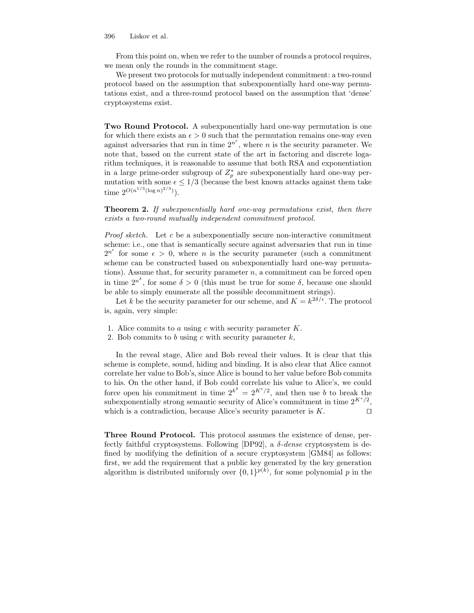#### 396 Liskov et al.

From this point on, when we refer to the number of rounds a protocol requires, we mean only the rounds in the commitment stage.

We present two protocols for mutually independent commitment: a two-round protocol based on the assumption that subexponentially hard one-way permutations exist, and a three-round protocol based on the assumption that 'dense' cryptosystems exist.

Two Round Protocol. A subexponentially hard one-way permutation is one for which there exists an  $\epsilon > 0$  such that the permutation remains one-way even against adversaries that run in time  $2^{n^{\epsilon}}$ , where *n* is the security parameter. We note that, based on the current state of the art in factoring and discrete logarithm techniques, it is reasonable to assume that both RSA and exponentiation in a large prime-order subgroup of  $Z_p^*$  are subexponentially hard one-way permutation with some  $\epsilon \leq 1/3$  (because the best known attacks against them take time  $2^{O(n^{1/3}(\log n)^{2/3})}$ ).

Theorem 2. If subexponentially hard one-way permutations exist, then there exists a two-round mutually independent commitment protocol.

*Proof sketch.* Let c be a subexponentially secure non-interactive commitment scheme: i.e., one that is semantically secure against adversaries that run in time  $2^{n^{\epsilon}}$  for some  $\epsilon > 0$ , where *n* is the security parameter (such a commitment scheme can be constructed based on subexponentially hard one-way permutations). Assume that, for security parameter  $n$ , a commitment can be forced open in time  $2^{n^{\delta}}$ , for some  $\delta > 0$  (this must be true for some  $\delta$ , because one should be able to simply enumerate all the possible decommitment strings).

Let k be the security parameter for our scheme, and  $K = k^{2\delta/\epsilon}$ . The protocol is, again, very simple:

- 1. Alice commits to a using c with security parameter  $K$ .
- 2. Bob commits to b using c with security parameter  $k$ ,

In the reveal stage, Alice and Bob reveal their values. It is clear that this scheme is complete, sound, hiding and binding. It is also clear that Alice cannot correlate her value to Bob's, since Alice is bound to her value before Bob commits to his. On the other hand, if Bob could correlate his value to Alice's, we could force open his commitment in time  $2^{k^{\delta}} = 2^{K^{\epsilon}/2}$ , and then use b to break the subexponentially strong semantic security of Alice's commitment in time  $2^{K^{\epsilon}/2}$ , which is a contradiction, because Alice's security parameter is  $K$ .

Three Round Protocol. This protocol assumes the existence of dense, perfectly faithful cryptosystems. Following  $[DP92]$ , a  $\delta$ -dense cryptosystem is defined by modifying the definition of a secure cryptosystem [GM84] as follows: first, we add the requirement that a public key generated by the key generation algorithm is distributed uniformly over  $\{0,1\}^{p(k)}$ , for some polynomial p in the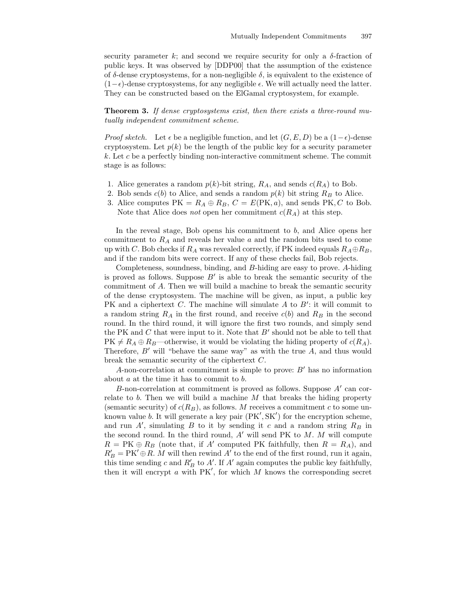security parameter k; and second we require security for only a  $\delta$ -fraction of public keys. It was observed by [DDP00] that the assumption of the existence of  $\delta$ -dense cryptosystems, for a non-negligible  $\delta$ , is equivalent to the existence of  $(1-\epsilon)$ -dense cryptosystems, for any negligible  $\epsilon$ . We will actually need the latter. They can be constructed based on the ElGamal cryptosystem, for example.

Theorem 3. If dense cryptosystems exist, then there exists a three-round mutually independent commitment scheme.

Proof sketch. Let  $\epsilon$  be a negligible function, and let  $(G, E, D)$  be a  $(1-\epsilon)$ -dense cryptosystem. Let  $p(k)$  be the length of the public key for a security parameter  $k.$  Let c be a perfectly binding non-interactive commitment scheme. The commit stage is as follows:

- 1. Alice generates a random  $p(k)$ -bit string,  $R_A$ , and sends  $c(R_A)$  to Bob.
- 2. Bob sends  $c(b)$  to Alice, and sends a random  $p(k)$  bit string  $R_B$  to Alice.
- 3. Alice computes  $PK = R_A \oplus R_B$ ,  $C = E(PK, a)$ , and sends PK, C to Bob. Note that Alice does *not* open her commitment  $c(R_A)$  at this step.

In the reveal stage, Bob opens his commitment to b, and Alice opens her commitment to  $R_A$  and reveals her value a and the random bits used to come up with C. Bob checks if  $R_A$  was revealed correctly, if PK indeed equals  $R_A \oplus R_B$ , and if the random bits were correct. If any of these checks fail, Bob rejects.

Completeness, soundness, binding, and B-hiding are easy to prove. A-hiding is proved as follows. Suppose  $B'$  is able to break the semantic security of the commitment of A. Then we will build a machine to break the semantic security of the dense cryptosystem. The machine will be given, as input, a public key PK and a ciphertext  $C$ . The machine will simulate  $A$  to  $B'$ : it will commit to a random string  $R_A$  in the first round, and receive  $c(b)$  and  $R_B$  in the second round. In the third round, it will ignore the first two rounds, and simply send the PK and  $C$  that were input to it. Note that  $B'$  should not be able to tell that  $PK \neq R_A \oplus R_B$ —otherwise, it would be violating the hiding property of  $c(R_A)$ . Therefore,  $B'$  will "behave the same way" as with the true  $A$ , and thus would break the semantic security of the ciphertext C.

A-non-correlation at commitment is simple to prove:  $B'$  has no information about a at the time it has to commit to b.

 $B$ -non-correlation at commitment is proved as follows. Suppose  $A'$  can correlate to b. Then we will build a machine  $M$  that breaks the hiding property (semantic security) of  $c(R_B)$ , as follows. M receives a commitment c to some unknown value b. It will generate a key pair  $(PK', SK')$  for the encryption scheme, and run  $A'$ , simulating  $B$  to it by sending it c and a random string  $R_B$  in the second round. In the third round,  $A'$  will send PK to  $M$ . M will compute  $R = \text{PK} \oplus R_B$  (note that, if A' computed PK faithfully, then  $R = R_A$ ), and  $R'_B = \overline{PK'} \oplus \overline{R}$ . M will then rewind  $A'$  to the end of the first round, run it again, this time sending c and  $R'_B$  to A'. If A' again computes the public key faithfully, then it will encrypt a with PK', for which M knows the corresponding secret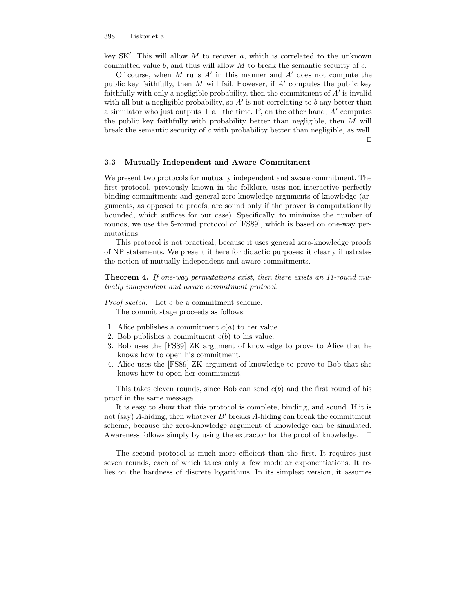key SK'. This will allow  $M$  to recover  $a$ , which is correlated to the unknown committed value b, and thus will allow  $M$  to break the semantic security of  $c$ .

Of course, when  $M$  runs  $A'$  in this manner and  $A'$  does not compute the public key faithfully, then  $M$  will fail. However, if  $A'$  computes the public key faithfully with only a negligible probability, then the commitment of  $A'$  is invalid with all but a negligible probability, so  $A'$  is not correlating to b any better than a simulator who just outputs  $\perp$  all the time. If, on the other hand, A' computes the public key faithfully with probability better than negligible, then  $M$  will break the semantic security of c with probability better than negligible, as well.  $\Box$ 

#### 3.3 Mutually Independent and Aware Commitment

We present two protocols for mutually independent and aware commitment. The first protocol, previously known in the folklore, uses non-interactive perfectly binding commitments and general zero-knowledge arguments of knowledge (arguments, as opposed to proofs, are sound only if the prover is computationally bounded, which suffices for our case). Specifically, to minimize the number of rounds, we use the 5-round protocol of [FS89], which is based on one-way permutations.

This protocol is not practical, because it uses general zero-knowledge proofs of NP statements. We present it here for didactic purposes: it clearly illustrates the notion of mutually independent and aware commitments.

Theorem 4. If one-way permutations exist, then there exists an 11-round mutually independent and aware commitment protocol.

Proof sketch. Let c be a commitment scheme. The commit stage proceeds as follows:

- 1. Alice publishes a commitment  $c(a)$  to her value.
- 2. Bob publishes a commitment  $c(b)$  to his value.
- 3. Bob uses the [FS89] ZK argument of knowledge to prove to Alice that he knows how to open his commitment.
- 4. Alice uses the [FS89] ZK argument of knowledge to prove to Bob that she knows how to open her commitment.

This takes eleven rounds, since Bob can send  $c(b)$  and the first round of his proof in the same message.

It is easy to show that this protocol is complete, binding, and sound. If it is not (say) A-hiding, then whatever  $B'$  breaks A-hiding can break the commitment scheme, because the zero-knowledge argument of knowledge can be simulated. Awareness follows simply by using the extractor for the proof of knowledge.  $\square$ 

The second protocol is much more efficient than the first. It requires just seven rounds, each of which takes only a few modular exponentiations. It relies on the hardness of discrete logarithms. In its simplest version, it assumes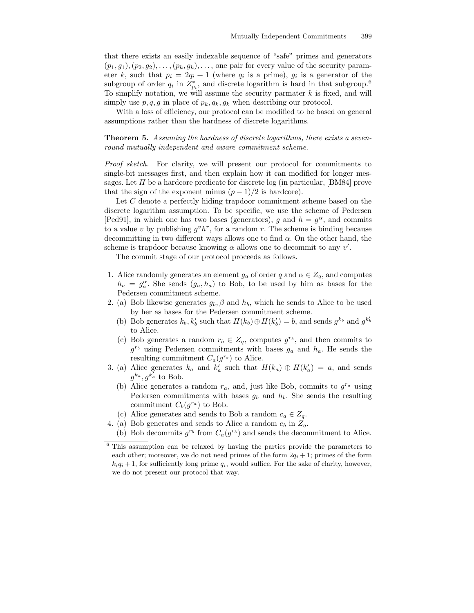that there exists an easily indexable sequence of "safe" primes and generators  $(p_1, g_1), (p_2, g_2), \ldots, (p_k, g_k), \ldots$ , one pair for every value of the security parameter k, such that  $p_i = 2q_i + 1$  (where  $q_i$  is a prime),  $g_i$  is a generator of the subgroup of order  $q_i$  in  $Z_{p_i}^*$ , and discrete logarithm is hard in that subgroup.<sup>6</sup> To simplify notation, we will assume the security parmater  $k$  is fixed, and will simply use  $p, q, g$  in place of  $p_k, q_k, g_k$  when describing our protocol.

With a loss of efficiency, our protocol can be modified to be based on general assumptions rather than the hardness of discrete logarithms.

Theorem 5. Assuming the hardness of discrete logarithms, there exists a sevenround mutually independent and aware commitment scheme.

Proof sketch. For clarity, we will present our protocol for commitments to single-bit messages first, and then explain how it can modified for longer messages. Let H be a hardcore predicate for discrete log (in particular, [BM84] prove that the sign of the exponent minus  $(p-1)/2$  is hardcore).

Let C denote a perfectly hiding trapdoor commitment scheme based on the discrete logarithm assumption. To be specific, we use the scheme of Pedersen [Ped91], in which one has two bases (generators), g and  $h = g^{\alpha}$ , and commits to a value v by publishing  $g^v h^r$ , for a random r. The scheme is binding because decommitting in two different ways allows one to find  $\alpha$ . On the other hand, the scheme is trapdoor because knowing  $\alpha$  allows one to decommit to any  $v'$ .

The commit stage of our protocol proceeds as follows.

- 1. Alice randomly generates an element  $g_a$  of order q and  $\alpha \in Z_q$ , and computes  $h_a = g_a^{\alpha}$ . She sends  $(g_a, h_a)$  to Bob, to be used by him as bases for the Pedersen commitment scheme.
- 2. (a) Bob likewise generates  $g_b$ ,  $\beta$  and  $h_b$ , which he sends to Alice to be used by her as bases for the Pedersen commitment scheme.
	- (b) Bob generates  $k_b, k'_b$  $b<sub>b</sub>$  such that  $H(k_b) \oplus H(k_b)$  $b<sub>b</sub>(b) = b$ , and sends  $g<sup>k<sub>b</sub></sup>$  and  $g<sup>k'<sub>b</sub></sup>$ to Alice.
	- (c) Bob generates a random  $r_b \in Z_q$ , computes  $g^{r_b}$ , and then commits to  $g^{r_b}$  using Pedersen commitments with bases  $g_a$  and  $h_a$ . He sends the resulting commitment  $C_a(g^{r_b})$  to Alice.
- 3. (a) Alice generates  $k_a$  and  $k'_a$  such that  $H(k_a) \oplus H(k'_a) = a$ , and sends  $g^{k_a}, g^{k'_a}$  to Bob.
	- (b) Alice generates a random  $r_a$ , and, just like Bob, commits to  $g^{r_a}$  using Pedersen commitments with bases  $g_b$  and  $h_b$ . She sends the resulting commitment  $C_b(g^{r_a})$  to Bob.
	- (c) Alice generates and sends to Bob a random  $c_a \in Z_q$ .
- 4. (a) Bob generates and sends to Alice a random  $c_b$  in  $Z_q$ .

(b) Bob decommits  $g^{r_b}$  from  $C_a(g^{r_b})$  and sends the decommitment to Alice.

 $6$  This assumption can be relaxed by having the parties provide the parameters to each other; moreover, we do not need primes of the form  $2q_i + 1$ ; primes of the form  $k_iq_i + 1$ , for sufficiently long prime  $q_i$ , would suffice. For the sake of clarity, however, we do not present our protocol that way.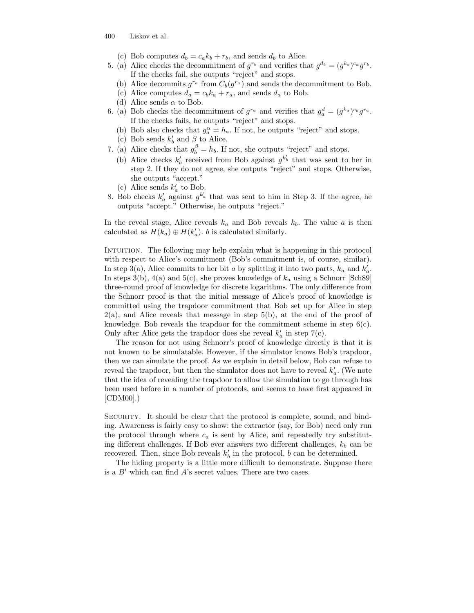- (c) Bob computes  $d_b = c_a k_b + r_b$ , and sends  $d_b$  to Alice.
- 5. (a) Alice checks the decommitment of  $g^{r_b}$  and verifies that  $g^{d_b} = (g^{k_b})^{c_a} g^{r_b}$ . If the checks fail, she outputs "reject" and stops.
	- (b) Alice decommits  $g^{r_a}$  from  $C_b(g^{r_a})$  and sends the decommitment to Bob.
	- (c) Alice computes  $d_a = c_b k_a + r_a$ , and sends  $d_a$  to Bob.
	- (d) Alice sends  $\alpha$  to Bob.
- 6. (a) Bob checks the decommitment of  $g^{r_a}$  and verifies that  $g_a^d = (g^{k_a})^{c_b} g^{r_a}$ . If the checks fails, he outputs "reject" and stops.
	- (b) Bob also checks that  $g_a^{\alpha} = h_a$ . If not, he outputs "reject" and stops.
	- $(c)$  Bob sends  $k'_l$  $\beta$  and  $\beta$  to Alice.
- 7. (a) Alice checks that  $g_b^{\beta} = h_b$ . If not, she outputs "reject" and stops.
	- (b) Alice checks  $k_l$  $b<sub>b</sub>$  received from Bob against  $g<sup>k'<sub>b</sub></sup>$  that was sent to her in step 2. If they do not agree, she outputs "reject" and stops. Otherwise, she outputs "accept."
	- (c) Alice sends  $k'_a$  to Bob.
- 8. Bob checks  $k'_a$  against  $g^{k'_a}$  that was sent to him in Step 3. If the agree, he outputs "accept." Otherwise, he outputs "reject."

In the reveal stage, Alice reveals  $k_a$  and Bob reveals  $k_b$ . The value a is then calculated as  $H(k_a) \oplus H(k'_a)$ . b is calculated similarly.

INTUITION. The following may help explain what is happening in this protocol with respect to Alice's commitment (Bob's commitment is, of course, similar). In step 3(a), Alice commits to her bit a by splitting it into two parts,  $k_a$  and  $k'_a$ . In steps 3(b), 4(a) and 5(c), she proves knowledge of  $k_a$  using a Schnorr [Sch89] three-round proof of knowledge for discrete logarithms. The only difference from the Schnorr proof is that the initial message of Alice's proof of knowledge is committed using the trapdoor commitment that Bob set up for Alice in step  $2(a)$ , and Alice reveals that message in step  $5(b)$ , at the end of the proof of knowledge. Bob reveals the trapdoor for the commitment scheme in step  $6(c)$ . Only after Alice gets the trapdoor does she reveal  $k_a$  in step 7(c).

The reason for not using Schnorr's proof of knowledge directly is that it is not known to be simulatable. However, if the simulator knows Bob's trapdoor, then we can simulate the proof. As we explain in detail below, Bob can refuse to reveal the trapdoor, but then the simulator does not have to reveal  $k'_a$ . (We note that the idea of revealing the trapdoor to allow the simulation to go through has been used before in a number of protocols, and seems to have first appeared in [CDM00].)

SECURITY. It should be clear that the protocol is complete, sound, and binding. Awareness is fairly easy to show: the extractor (say, for Bob) need only run the protocol through where  $c_a$  is sent by Alice, and repeatedly try substituting different challenges. If Bob ever answers two different challenges,  $k_b$  can be recovered. Then, since Bob reveals  $k_t$  $b<sub>b</sub>$  in the protocol, b can be determined.

The hiding property is a little more difficult to demonstrate. Suppose there is a  $B'$  which can find  $A$ 's secret values. There are two cases.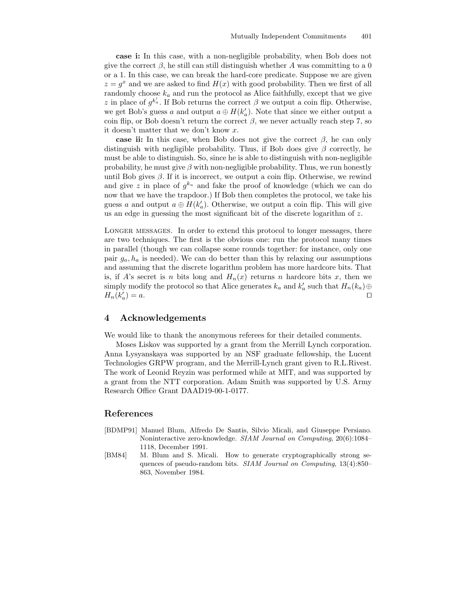case i: In this case, with a non-negligible probability, when Bob does not give the correct  $\beta$ , he still can still distinguish whether A was committing to a 0 or a 1. In this case, we can break the hard-core predicate. Suppose we are given  $z = g^x$  and we are asked to find  $H(x)$  with good probability. Then we first of all randomly choose  $k_a$  and run the protocol as Alice faithfully, except that we give z in place of  $g^{k'_a}$ . If Bob returns the correct  $\beta$  we output a coin flip. Otherwise, we get Bob's guess a and output  $a \oplus H(k'_a)$ . Note that since we either output a coin flip, or Bob doesn't return the correct  $\beta$ , we never actually reach step 7, so it doesn't matter that we don't know x.

case ii: In this case, when Bob does not give the correct  $\beta$ , he can only distinguish with negligible probability. Thus, if Bob does give  $\beta$  correctly, he must be able to distinguish. So, since he is able to distinguish with non-negligible probability, he must give  $\beta$  with non-negligible probability. Thus, we run honestly until Bob gives  $\beta$ . If it is incorrect, we output a coin flip. Otherwise, we rewind and give z in place of  $g^{k_a}$  and fake the proof of knowledge (which we can do now that we have the trapdoor.) If Bob then completes the protocol, we take his guess a and output  $a \oplus \overline{H}(k_a')$ . Otherwise, we output a coin flip. This will give us an edge in guessing the most significant bit of the discrete logarithm of z.

Longer messages. In order to extend this protocol to longer messages, there are two techniques. The first is the obvious one: run the protocol many times in parallel (though we can collapse some rounds together: for instance, only one pair  $g_a, h_a$  is needed). We can do better than this by relaxing our assumptions and assuming that the discrete logarithm problem has more hardcore bits. That is, if A's secret is n bits long and  $H_n(x)$  returns n hardcore bits x, then we simply modify the protocol so that Alice generates  $k_a$  and  $k'_a$  such that  $H_n(k_a) \oplus$  $H_n(k'_a)$  $) = a.$ 

## 4 Acknowledgements

We would like to thank the anonymous referees for their detailed comments.

Moses Liskov was supported by a grant from the Merrill Lynch corporation. Anna Lysyanskaya was supported by an NSF graduate fellowship, the Lucent Technologies GRPW program, and the Merrill-Lynch grant given to R.L.Rivest. The work of Leonid Reyzin was performed while at MIT, and was supported by a grant from the NTT corporation. Adam Smith was supported by U.S. Army Research Office Grant DAAD19-00-1-0177.

## References

- [BDMP91] Manuel Blum, Alfredo De Santis, Silvio Micali, and Giuseppe Persiano. Noninteractive zero-knowledge. SIAM Journal on Computing, 20(6):1084– 1118, December 1991.
- [BM84] M. Blum and S. Micali. How to generate cryptographically strong sequences of pseudo-random bits. SIAM Journal on Computing, 13(4):850– 863, November 1984.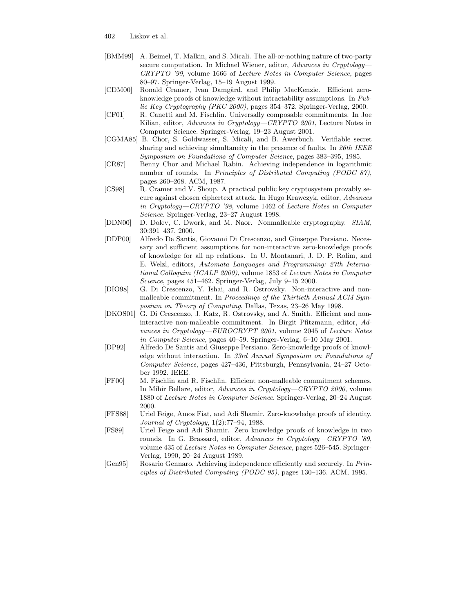402 Liskov et al.

- [BMM99] A. Beimel, T. Malkin, and S. Micali. The all-or-nothing nature of two-party secure computation. In Michael Wiener, editor, Advances in Cryptology CRYPTO '99, volume 1666 of Lecture Notes in Computer Science, pages 80–97. Springer-Verlag, 15–19 August 1999.
- [CDM00] Ronald Cramer, Ivan Damgård, and Philip MacKenzie. Efficient zeroknowledge proofs of knowledge without intractability assumptions. In Public Key Cryptography (PKC 2000), pages 354–372. Springer-Verlag, 2000.
- [CF01] R. Canetti and M. Fischlin. Universally composable commitments. In Joe Kilian, editor, Advances in Cryptology—CRYPTO 2001, Lecture Notes in Computer Science. Springer-Verlag, 19–23 August 2001.
- [CGMA85] B. Chor, S. Goldwasser, S. Micali, and B. Awerbuch. Verifiable secret sharing and achieving simultaneity in the presence of faults. In 26th IEEE Symposium on Foundations of Computer Science, pages 383–395, 1985.
- [CR87] Benny Chor and Michael Rabin. Achieving independence in logarithmic number of rounds. In Principles of Distributed Computing (PODC 87), pages 260–268. ACM, 1987.
- [CS98] R. Cramer and V. Shoup. A practical public key cryptosystem provably secure against chosen ciphertext attack. In Hugo Krawczyk, editor, Advances in Cryptology—CRYPTO '98, volume 1462 of Lecture Notes in Computer Science. Springer-Verlag, 23–27 August 1998.
- [DDN00] D. Dolev, C. Dwork, and M. Naor. Nonmalleable cryptography. SIAM, 30:391–437, 2000.
- [DDP00] Alfredo De Santis, Giovanni Di Crescenzo, and Giuseppe Persiano. Necessary and sufficient assumptions for non-interactive zero-knowledge proofs of knowledge for all np relations. In U. Montanari, J. D. P. Rolim, and E. Welzl, editors, Automata Languages and Programming: 27th International Colloquim (ICALP 2000), volume 1853 of Lecture Notes in Computer Science, pages 451–462. Springer-Verlag, July 9–15 2000.
- [DIO98] G. Di Crescenzo, Y. Ishai, and R. Ostrovsky. Non-interactive and nonmalleable commitment. In Proceedings of the Thirtieth Annual ACM Symposium on Theory of Computing, Dallas, Texas, 23–26 May 1998.
- [DKOS01] G. Di Crescenzo, J. Katz, R. Ostrovsky, and A. Smith. Efficient and noninteractive non-malleable commitment. In Birgit Pfitzmann, editor, Advances in Cryptology—EUROCRYPT 2001, volume 2045 of Lecture Notes in Computer Science, pages 40–59. Springer-Verlag, 6–10 May 2001.
- [DP92] Alfredo De Santis and Giuseppe Persiano. Zero-knowledge proofs of knowledge without interaction. In 33rd Annual Symposium on Foundations of Computer Science, pages 427–436, Pittsburgh, Pennsylvania, 24–27 October 1992. IEEE.
- [FF00] M. Fischlin and R. Fischlin. Efficient non-malleable commitment schemes. In Mihir Bellare, editor, Advances in Cryptology—CRYPTO 2000, volume 1880 of Lecture Notes in Computer Science. Springer-Verlag, 20–24 August 2000.
- [FFS88] Uriel Feige, Amos Fiat, and Adi Shamir. Zero-knowledge proofs of identity. Journal of Cryptology, 1(2):77–94, 1988.
- [FS89] Uriel Feige and Adi Shamir. Zero knowledge proofs of knowledge in two rounds. In G. Brassard, editor, Advances in Cryptology—CRYPTO '89, volume 435 of Lecture Notes in Computer Science, pages 526–545. Springer-Verlag, 1990, 20–24 August 1989.
- [Gen95] Rosario Gennaro. Achieving independence efficiently and securely. In Principles of Distributed Computing (PODC 95), pages 130–136. ACM, 1995.